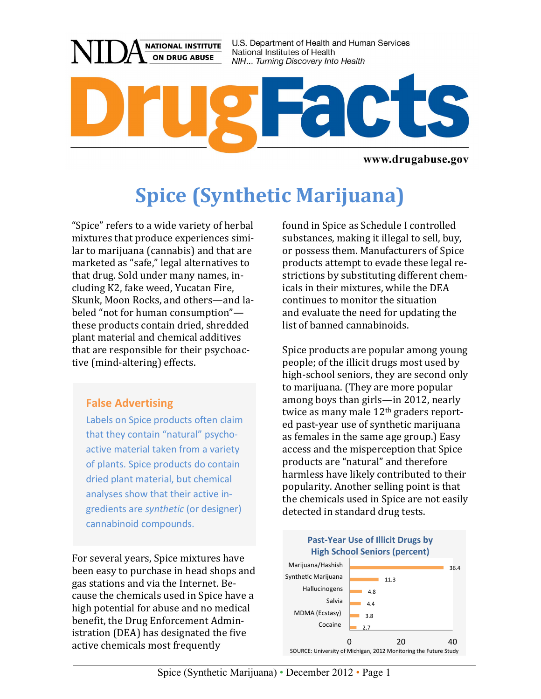

www.drugabuse.gov

# **Spice (Synthetic Marijuana)**

"Spice" refers to a wide variety of herbal mixtures that produce experiences similar to marijuana (cannabis) and that are marketed as "safe," legal alternatives to that drug. Sold under many names, including K2, fake weed, Yucatan Fire, Skunk, Moon Rocks, and others—and labeled "not for human consumption" these products contain dried, shredded plant material and chemical additives that are responsible for their psychoactive (mind-altering) effects.

#### **False Advertising**

Labels on Spice products often claim that they contain "natural" psychoactive material taken from a variety of plants. Spice products do contain dried plant material, but chemical analyses show that their active ingredients are *synthetic* (or designer) cannabinoid compounds.

For several years, Spice mixtures have been easy to purchase in head shops and gas stations and via the Internet. Because the chemicals used in Spice have a high potential for abuse and no medical benefit, the Drug Enforcement Administration (DEA) has designated the five active chemicals most frequently

found in Spice as Schedule I controlled substances, making it illegal to sell, buy, or possess them. Manufacturers of Spice products attempt to evade these legal restrictions by substituting different chemicals in their mixtures, while the DEA continues to monitor the situation and evaluate the need for updating the list of banned cannabinoids.

Spice products are popular among young people; of the illicit drugs most used by high-school seniors, they are second only to marijuana. (They are more popular among boys than girls—in 2012, nearly twice as many male  $12<sup>th</sup>$  graders reported past-year use of synthetic marijuana as females in the same age group.) Easy access and the misperception that Spice products are "natural" and therefore harmless have likely contributed to their popularity. Another selling point is that the chemicals used in Spice are not easily detected in standard drug tests.